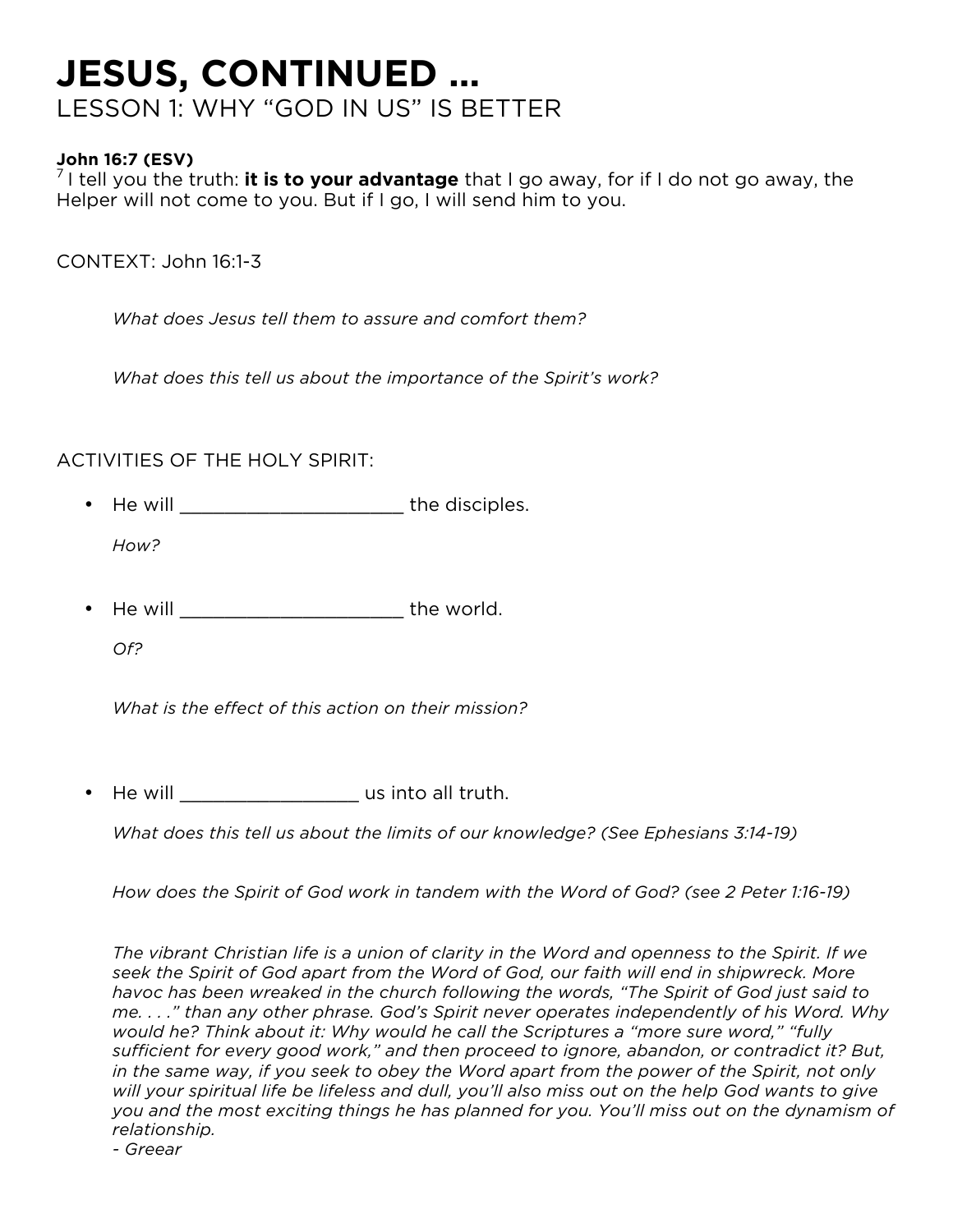## **JESUS, CONTINUED …** LESSON 1: WHY "GOD IN US" IS BETTER

**John 16:7 (ESV)**<br><sup>7</sup> I tell you the truth: **it is to your advantage** that I go away, for if I do not go away, the Helper will not come to you. But if I go, I will send him to you.

CONTEXT: John 16:1-3

*What does Jesus tell them to assure and comfort them?*

*What does this tell us about the importance of the Spirit's work?*

## ACTIVITIES OF THE HOLY SPIRIT:

- He will **the disciples.** *How?*
- He will **will has been a structured** the world.

*Of?*

*What is the effect of this action on their mission?*

He will \_\_\_\_\_\_\_\_\_\_\_\_\_\_\_\_\_\_\_\_\_\_ us into all truth.

*What does this tell us about the limits of our knowledge? (See Ephesians 3:14-19)*

*How does the Spirit of God work in tandem with the Word of God? (see 2 Peter 1:16-19)*

*The vibrant Christian life is a union of clarity in the Word and openness to the Spirit. If we seek the Spirit of God apart from the Word of God, our faith will end in shipwreck. More havoc has been wreaked in the church following the words, "The Spirit of God just said to me. . . ." than any other phrase. God's Spirit never operates independently of his Word. Why would he? Think about it: Why would he call the Scriptures a "more sure word," "fully sufficient for every good work," and then proceed to ignore, abandon, or contradict it? But, in the same way, if you seek to obey the Word apart from the power of the Spirit, not only will your spiritual life be lifeless and dull, you'll also miss out on the help God wants to give you and the most exciting things he has planned for you. You'll miss out on the dynamism of relationship.*

*- Greear*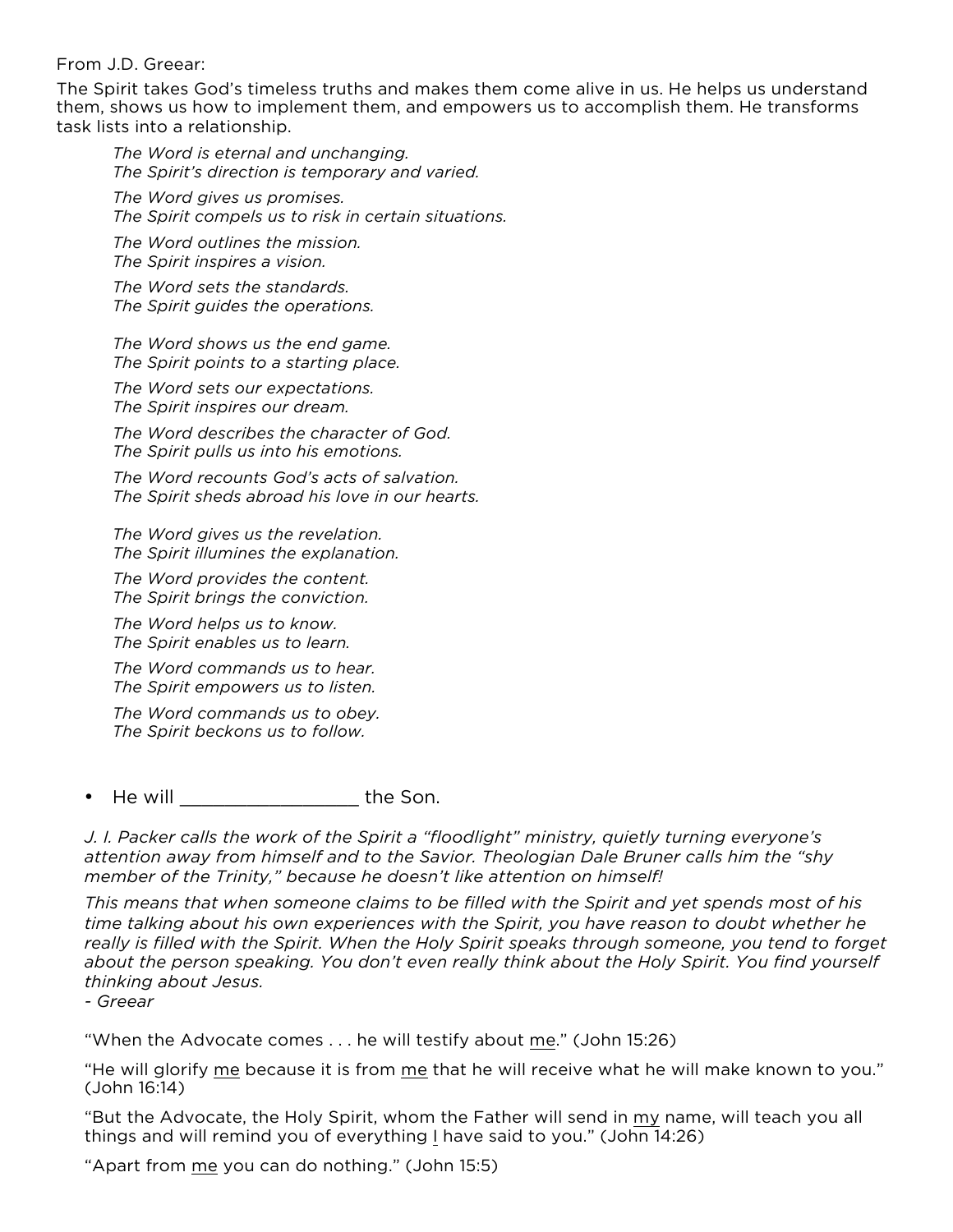From J.D. Greear:

The Spirit takes God's timeless truths and makes them come alive in us. He helps us understand them, shows us how to implement them, and empowers us to accomplish them. He transforms task lists into a relationship.

*The Word is eternal and unchanging. The Spirit's direction is temporary and varied.* 

*The Word gives us promises. The Spirit compels us to risk in certain situations.* 

*The Word outlines the mission. The Spirit inspires a vision.* 

*The Word sets the standards. The Spirit guides the operations.* 

*The Word shows us the end game. The Spirit points to a starting place.* 

*The Word sets our expectations. The Spirit inspires our dream.* 

*The Word describes the character of God. The Spirit pulls us into his emotions.* 

*The Word recounts God's acts of salvation. The Spirit sheds abroad his love in our hearts.* 

*The Word gives us the revelation. The Spirit illumines the explanation.* 

*The Word provides the content. The Spirit brings the conviction.* 

*The Word helps us to know. The Spirit enables us to learn.* 

*The Word commands us to hear. The Spirit empowers us to listen.* 

*The Word commands us to obey. The Spirit beckons us to follow.*

• He will \_\_\_\_\_\_\_\_\_\_\_\_\_\_\_\_ the Son.

*J. I. Packer calls the work of the Spirit a "floodlight" ministry, quietly turning everyone's attention away from himself and to the Savior. Theologian Dale Bruner calls him the "shy member of the Trinity," because he doesn't like attention on himself!* 

*This means that when someone claims to be filled with the Spirit and yet spends most of his time talking about his own experiences with the Spirit, you have reason to doubt whether he really is filled with the Spirit. When the Holy Spirit speaks through someone, you tend to forget about the person speaking. You don't even really think about the Holy Spirit. You find yourself thinking about Jesus.* 

*- Greear*

"When the Advocate comes . . . he will testify about me." (John 15:26)

"He will glorify me because it is from me that he will receive what he will make known to you." (John 16:14)

"But the Advocate, the Holy Spirit, whom the Father will send in my name, will teach you all things and will remind you of everything I have said to you." (John 14:26)

"Apart from me you can do nothing." (John 15:5)